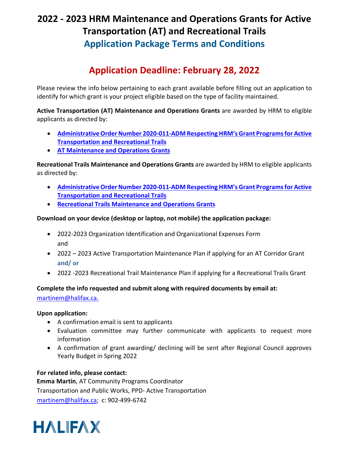# **2022 - 2023 HRM Maintenance and Operations Grants for Active Transportation (AT) and Recreational Trails Application Package Terms and Conditions**

## **Application Deadline: February 28, 2022**

Please review the info below pertaining to each grant available before filling out an application to identify for which grant is your project eligible based on the type of facility maintained.

**Active Transportation (AT) Maintenance and Operations Grants** are awarded by HRM to eligible applicants as directed by:

- **[Administrative Order Number 2020-011-ADM Respecting](https://www.halifax.ca/sites/default/files/documents/city-hall/legislation-by-laws/2020-011-ADM.pdf) HRM's Grant Programs for Active Transportation and Recreational Trails**
- **[AT Maintenance and Operations Grants](https://www.halifax.ca/sites/default/files/documents/transportation/cycling-walking/2022%20-%202023%20AT%20Maintenance%20and%20Operations%20Grants%20Terms%20and%20Conditions.pdf)**

**Recreational Trails Maintenance and Operations Grants** are awarded by HRM to eligible applicants as directed by:

- **[Administrative Order Number 2020-011-ADM Respecting](https://www.halifax.ca/sites/default/files/documents/city-hall/legislation-by-laws/2020-011-ADM.pdf) HRM's Grant Programs for Active Transportation and Recreational Trails**
- **[Recreational Trails Maintenance and Operations Grants](https://www.halifax.ca/sites/default/files/documents/recreation/parks-trails-gardens/2022%20-%202023%20Recreational%20Trails%20Operations%20and%20Maintenance%20Grants%20Terms%20and%20Conditions.pdf)**

### **Download on your device (desktop or laptop, not mobile) the application package:**

- 2022-2023 Organization Identification and Organizational Expenses Form and
- 2022 2023 Active Transportation Maintenance Plan if applying for an AT Corridor Grant **and/ or**
- 2022 -2023 Recreational Trail Maintenance Plan if applying for a Recreational Trails Grant

### **Complete the info requested and submit along with required documents by email at:**

[martinem@halifax.ca.](mailto: martinem@halifax.ca) 

### **Upon application:**

- A confirmation email is sent to applicants
- Evaluation committee may further communicate with applicants to request more information
- A confirmation of grant awarding/ declining will be sent after Regional Council approves Yearly Budget in Spring 2022

### **For related info, please contact:**

**Emma Martin**, AT Community Programs Coordinator Transportation and Public Works, PPD- Active Transportation [martinem@halifax.ca;](mailto: martinem@halifax.ca) c: 902-499-6742

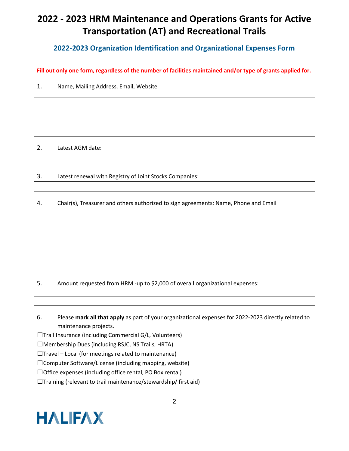## **2022 - 2023 HRM Maintenance and Operations Grants for Active Transportation (AT) and Recreational Trails**

### **2022-2023 Organization Identification and Organizational Expenses Form**

**Fill out only one form, regardless of the number of facilities maintained and/or type of grants applied for.** 

1. Name, Mailing Address, Email, Website

### 2. Latest AGM date:

3. Latest renewal with Registry of Joint Stocks Companies:

4. Chair(s), Treasurer and others authorized to sign agreements: Name, Phone and Email

- 5. Amount requested from HRM -up to \$2,000 of overall organizational expenses:
- 6. Please **mark all that apply** as part of your organizational expenses for 2022-2023 directly related to maintenance projects.

☐Trail Insurance (including Commercial G/L, Volunteers)

☐Membership Dues (including RSJC, NS Trails, HRTA)

 $\Box$ Travel – Local (for meetings related to maintenance)

☐Computer Software/License (including mapping, website)

☐Office expenses (including office rental, PO Box rental)

 $\Box$ Training (relevant to trail maintenance/stewardship/ first aid)